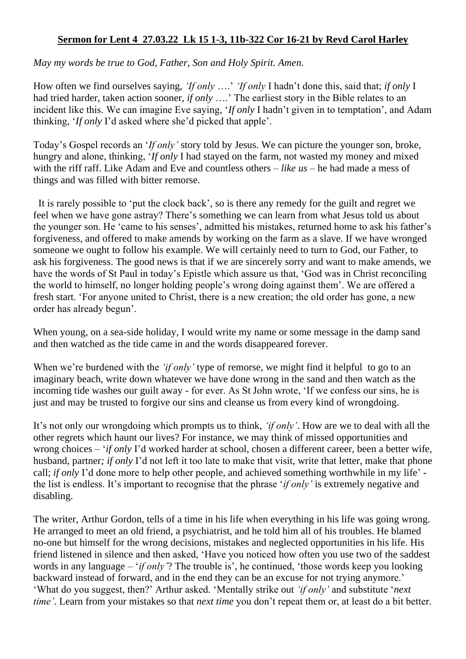## **Sermon for Lent 4 27.03.22 Lk 15 1-3, 11b-322 Cor 16-21 by Revd Carol Harley**

*May my words be true to God, Father, Son and Holy Spirit. Amen.* 

How often we find ourselves saying, *'If only* ….' *'If only* I hadn't done this, said that; *if only* I had tried harder, taken action sooner, *if only* ….' The earliest story in the Bible relates to an incident like this. We can imagine Eve saying, '*If only* I hadn't given in to temptation', and Adam thinking, '*If only* I'd asked where she'd picked that apple'.

Today's Gospel records an '*If only'* story told by Jesus. We can picture the younger son, broke, hungry and alone, thinking, '*If only* I had stayed on the farm, not wasted my money and mixed with the riff raff. Like Adam and Eve and countless others – *like us* – he had made a mess of things and was filled with bitter remorse.

 It is rarely possible to 'put the clock back', so is there any remedy for the guilt and regret we feel when we have gone astray? There's something we can learn from what Jesus told us about the younger son. He 'came to his senses', admitted his mistakes, returned home to ask his father's forgiveness, and offered to make amends by working on the farm as a slave. If we have wronged someone we ought to follow his example. We will certainly need to turn to God, our Father, to ask his forgiveness. The good news is that if we are sincerely sorry and want to make amends, we have the words of St Paul in today's Epistle which assure us that, 'God was in Christ reconciling the world to himself, no longer holding people's wrong doing against them'. We are offered a fresh start. 'For anyone united to Christ, there is a new creation; the old order has gone, a new order has already begun'.

When young, on a sea-side holiday, I would write my name or some message in the damp sand and then watched as the tide came in and the words disappeared forever.

When we're burdened with the *'if only'* type of remorse, we might find it helpful to go to an imaginary beach, write down whatever we have done wrong in the sand and then watch as the incoming tide washes our guilt away - for ever. As St John wrote, 'If we confess our sins, he is just and may be trusted to forgive our sins and cleanse us from every kind of wrongdoing.

It's not only our wrongdoing which prompts us to think, *'if only'*. How are we to deal with all the other regrets which haunt our lives? For instance, we may think of missed opportunities and wrong choices – '*if only* I'd worked harder at school, chosen a different career, been a better wife, husband, partner*; if only* I'd not left it too late to make that visit, write that letter, make that phone call; *if only* I'd done more to help other people, and achieved something worthwhile in my life' the list is endless. It's important to recognise that the phrase '*if only'* is extremely negative and disabling.

The writer, Arthur Gordon, tells of a time in his life when everything in his life was going wrong. He arranged to meet an old friend, a psychiatrist, and he told him all of his troubles. He blamed no-one but himself for the wrong decisions, mistakes and neglected opportunities in his life. His friend listened in silence and then asked, 'Have you noticed how often you use two of the saddest words in any language – '*if only'*? The trouble is', he continued, 'those words keep you looking backward instead of forward, and in the end they can be an excuse for not trying anymore.' 'What do you suggest, then?' Arthur asked. 'Mentally strike out *'if only'* and substitute '*next time'*. Learn from your mistakes so that *next time* you don't repeat them or, at least do a bit better.